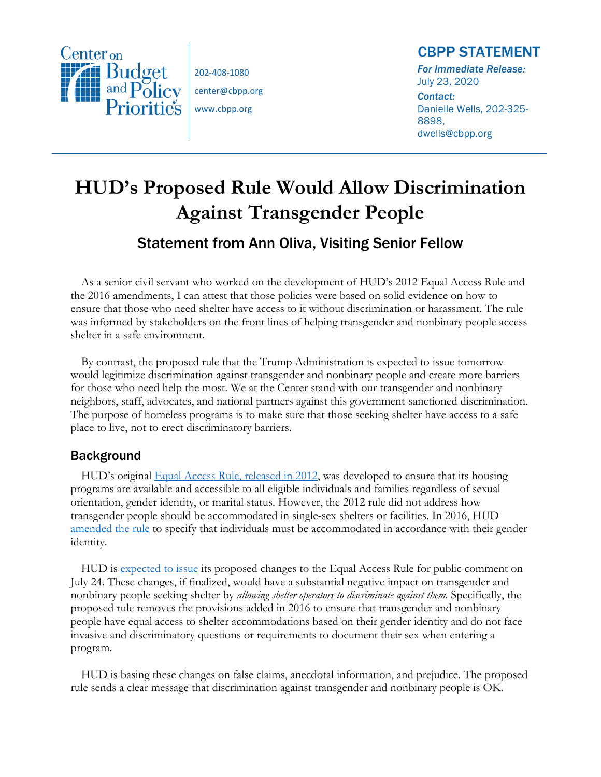

202-408-1080 center@cbpp.org www.cbpp.org

## CBPP STATEMENT

*For Immediate Release:*  July 23, 2020 *Contact:*  Danielle Wells, 202-325- 8898, dwells@cbpp.org

## **HUD's Proposed Rule Would Allow Discrimination Against Transgender People**

## Statement from Ann Oliva, Visiting Senior Fellow

As a senior civil servant who worked on the development of HUD's 2012 Equal Access Rule and the 2016 amendments, I can attest that those policies were based on solid evidence on how to ensure that those who need shelter have access to it without discrimination or harassment. The rule was informed by stakeholders on the front lines of helping transgender and nonbinary people access shelter in a safe environment.

By contrast, the proposed rule that the Trump Administration is expected to issue tomorrow would legitimize discrimination against transgender and nonbinary people and create more barriers for those who need help the most. We at the Center stand with our transgender and nonbinary neighbors, staff, advocates, and national partners against this government-sanctioned discrimination. The purpose of homeless programs is to make sure that those seeking shelter have access to a safe place to live, not to erect discriminatory barriers.

## Background

HUD's original Equal Access Rule, released in 2012, was developed to ensure that its housing programs are available and accessible to all eligible individuals and families regardless of sexual orientation, gender identity, or marital status. However, the 2012 rule did not address how transgender people should be accommodated in single-sex shelters or facilities. In 2016, HUD amended the rule to specify that individuals must be accommodated in accordance with their gender identity.

HUD is expected to issue its proposed changes to the Equal Access Rule for public comment on July 24. These changes, if finalized, would have a substantial negative impact on transgender and nonbinary people seeking shelter by *allowing shelter operators to discriminate against them*. Specifically, the proposed rule removes the provisions added in 2016 to ensure that transgender and nonbinary people have equal access to shelter accommodations based on their gender identity and do not face invasive and discriminatory questions or requirements to document their sex when entering a program.

HUD is basing these changes on false claims, anecdotal information, and prejudice. The proposed rule sends a clear message that discrimination against transgender and nonbinary people is OK.